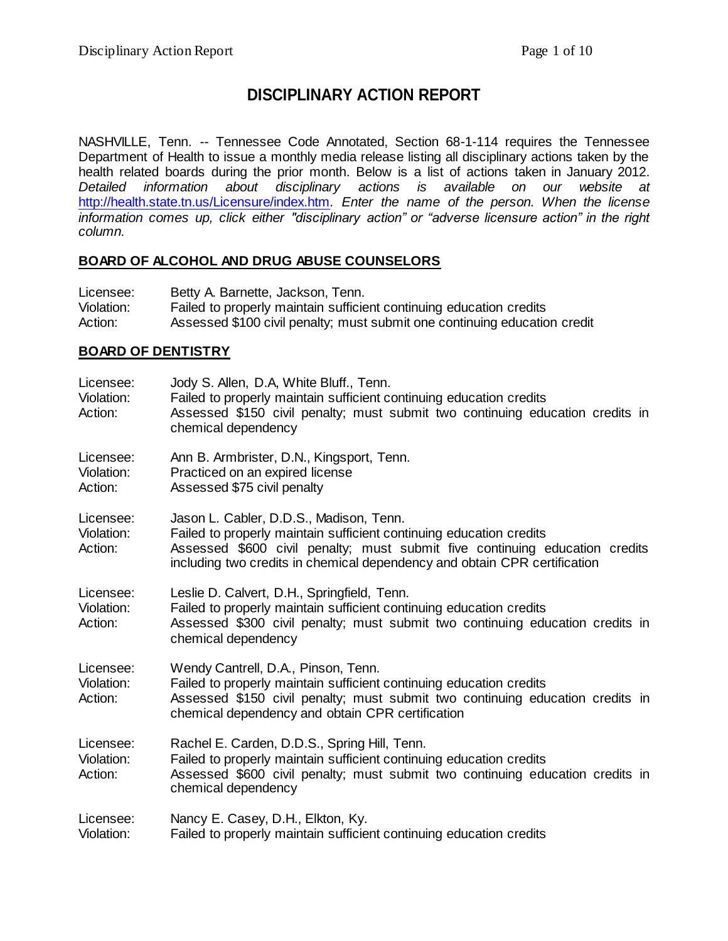# **DISCIPLINARY ACTION REPORT**

NASHVILLE, Tenn. -- Tennessee Code Annotated, Section 68-1-114 requires the Tennessee Department of Health to issue a monthly media release listing all disciplinary actions taken by the health related boards during the prior month. Below is a list of actions taken in January 2012. *Detailed information about disciplinary actions is available on our website at*  <http://health.state.tn.us/Licensure/index.htm>*. Enter the name of the person. When the license information comes up, click either "disciplinary action" or "adverse licensure action" in the right column.*

#### **BOARD OF ALCOHOL AND DRUG ABUSE COUNSELORS**

| Licensee:  | Betty A. Barnette, Jackson, Tenn.                                         |
|------------|---------------------------------------------------------------------------|
| Violation: | Failed to properly maintain sufficient continuing education credits       |
| Action:    | Assessed \$100 civil penalty; must submit one continuing education credit |

#### **BOARD OF DENTISTRY**

| Licensee:<br>Violation:<br>Action: | Jody S. Allen, D.A, White Bluff., Tenn.<br>Failed to properly maintain sufficient continuing education credits<br>Assessed \$150 civil penalty; must submit two continuing education credits in<br>chemical dependency                                                     |
|------------------------------------|----------------------------------------------------------------------------------------------------------------------------------------------------------------------------------------------------------------------------------------------------------------------------|
| Licensee:<br>Violation:<br>Action: | Ann B. Armbrister, D.N., Kingsport, Tenn.<br>Practiced on an expired license<br>Assessed \$75 civil penalty                                                                                                                                                                |
| Licensee:<br>Violation:<br>Action: | Jason L. Cabler, D.D.S., Madison, Tenn.<br>Failed to properly maintain sufficient continuing education credits<br>Assessed \$600 civil penalty; must submit five continuing education credits<br>including two credits in chemical dependency and obtain CPR certification |
| Licensee:<br>Violation:<br>Action: | Leslie D. Calvert, D.H., Springfield, Tenn.<br>Failed to properly maintain sufficient continuing education credits<br>Assessed \$300 civil penalty; must submit two continuing education credits in<br>chemical dependency                                                 |
| Licensee:<br>Violation:<br>Action: | Wendy Cantrell, D.A., Pinson, Tenn.<br>Failed to properly maintain sufficient continuing education credits<br>Assessed \$150 civil penalty; must submit two continuing education credits in<br>chemical dependency and obtain CPR certification                            |
| Licensee:<br>Violation:<br>Action: | Rachel E. Carden, D.D.S., Spring Hill, Tenn.<br>Failed to properly maintain sufficient continuing education credits<br>Assessed \$600 civil penalty; must submit two continuing education credits in<br>chemical dependency                                                |
| Licensee:<br>Violation:            | Nancy E. Casey, D.H., Elkton, Ky.<br>Failed to properly maintain sufficient continuing education credits                                                                                                                                                                   |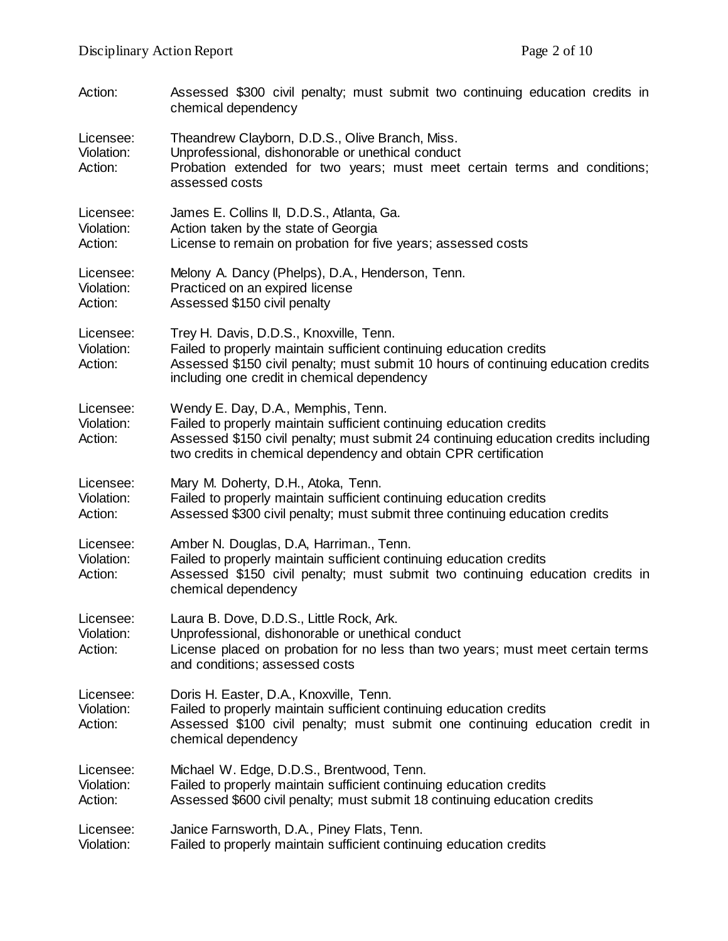| Action:                            | Assessed \$300 civil penalty; must submit two continuing education credits in<br>chemical dependency                                                                                                                                                                |
|------------------------------------|---------------------------------------------------------------------------------------------------------------------------------------------------------------------------------------------------------------------------------------------------------------------|
| Licensee:<br>Violation:<br>Action: | Theandrew Clayborn, D.D.S., Olive Branch, Miss.<br>Unprofessional, dishonorable or unethical conduct<br>Probation extended for two years; must meet certain terms and conditions;<br>assessed costs                                                                 |
| Licensee:<br>Violation:<br>Action: | James E. Collins II, D.D.S., Atlanta, Ga.<br>Action taken by the state of Georgia<br>License to remain on probation for five years; assessed costs                                                                                                                  |
| Licensee:<br>Violation:<br>Action: | Melony A. Dancy (Phelps), D.A., Henderson, Tenn.<br>Practiced on an expired license<br>Assessed \$150 civil penalty                                                                                                                                                 |
| Licensee:<br>Violation:<br>Action: | Trey H. Davis, D.D.S., Knoxville, Tenn.<br>Failed to properly maintain sufficient continuing education credits<br>Assessed \$150 civil penalty; must submit 10 hours of continuing education credits<br>including one credit in chemical dependency                 |
| Licensee:<br>Violation:<br>Action: | Wendy E. Day, D.A., Memphis, Tenn.<br>Failed to properly maintain sufficient continuing education credits<br>Assessed \$150 civil penalty; must submit 24 continuing education credits including<br>two credits in chemical dependency and obtain CPR certification |
| Licensee:<br>Violation:<br>Action: | Mary M. Doherty, D.H., Atoka, Tenn.<br>Failed to properly maintain sufficient continuing education credits<br>Assessed \$300 civil penalty; must submit three continuing education credits                                                                          |
| Licensee:<br>Violation:<br>Action: | Amber N. Douglas, D.A, Harriman., Tenn.<br>Failed to properly maintain sufficient continuing education credits<br>Assessed \$150 civil penalty; must submit two continuing education credits in<br>chemical dependency                                              |
| Licensee:<br>Violation:<br>Action: | Laura B. Dove, D.D.S., Little Rock, Ark.<br>Unprofessional, dishonorable or unethical conduct<br>License placed on probation for no less than two years; must meet certain terms<br>and conditions; assessed costs                                                  |
| Licensee:<br>Violation:<br>Action: | Doris H. Easter, D.A., Knoxville, Tenn.<br>Failed to properly maintain sufficient continuing education credits<br>Assessed \$100 civil penalty; must submit one continuing education credit in<br>chemical dependency                                               |
| Licensee:<br>Violation:<br>Action: | Michael W. Edge, D.D.S., Brentwood, Tenn.<br>Failed to properly maintain sufficient continuing education credits<br>Assessed \$600 civil penalty; must submit 18 continuing education credits                                                                       |
| Licensee:<br>Violation:            | Janice Farnsworth, D.A., Piney Flats, Tenn.<br>Failed to properly maintain sufficient continuing education credits                                                                                                                                                  |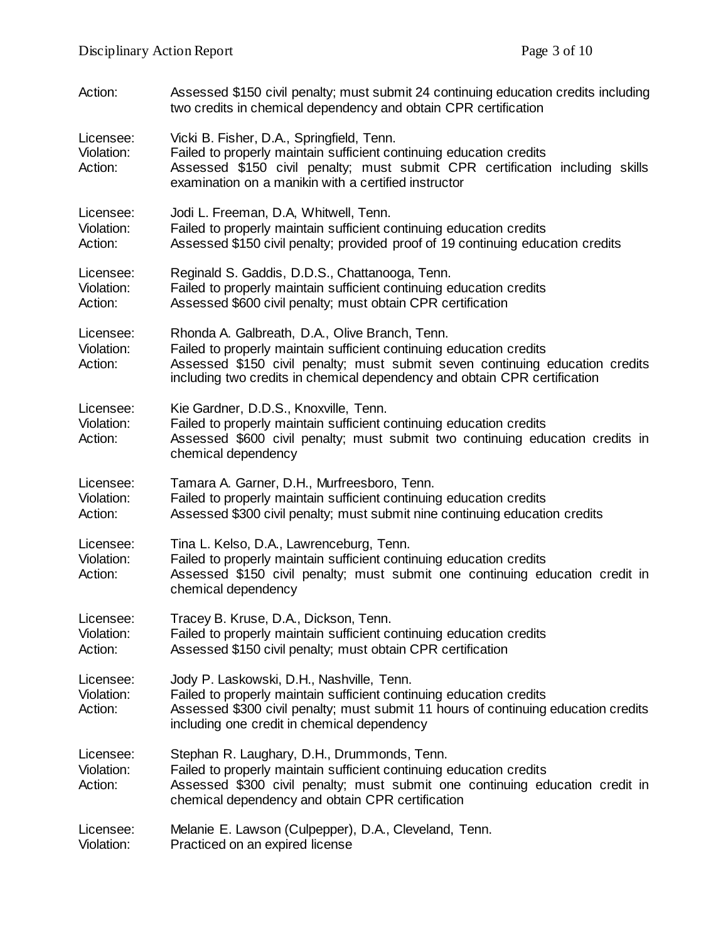| Action:                            | Assessed \$150 civil penalty; must submit 24 continuing education credits including<br>two credits in chemical dependency and obtain CPR certification                                                                                                                             |
|------------------------------------|------------------------------------------------------------------------------------------------------------------------------------------------------------------------------------------------------------------------------------------------------------------------------------|
| Licensee:<br>Violation:<br>Action: | Vicki B. Fisher, D.A., Springfield, Tenn.<br>Failed to properly maintain sufficient continuing education credits<br>Assessed \$150 civil penalty; must submit CPR certification including skills<br>examination on a manikin with a certified instructor                           |
| Licensee:<br>Violation:<br>Action: | Jodi L. Freeman, D.A, Whitwell, Tenn.<br>Failed to properly maintain sufficient continuing education credits<br>Assessed \$150 civil penalty; provided proof of 19 continuing education credits                                                                                    |
| Licensee:<br>Violation:<br>Action: | Reginald S. Gaddis, D.D.S., Chattanooga, Tenn.<br>Failed to properly maintain sufficient continuing education credits<br>Assessed \$600 civil penalty; must obtain CPR certification                                                                                               |
| Licensee:<br>Violation:<br>Action: | Rhonda A. Galbreath, D.A., Olive Branch, Tenn.<br>Failed to properly maintain sufficient continuing education credits<br>Assessed \$150 civil penalty; must submit seven continuing education credits<br>including two credits in chemical dependency and obtain CPR certification |
| Licensee:<br>Violation:<br>Action: | Kie Gardner, D.D.S., Knoxville, Tenn.<br>Failed to properly maintain sufficient continuing education credits<br>Assessed \$600 civil penalty; must submit two continuing education credits in<br>chemical dependency                                                               |
| Licensee:<br>Violation:<br>Action: | Tamara A. Garner, D.H., Murfreesboro, Tenn.<br>Failed to properly maintain sufficient continuing education credits<br>Assessed \$300 civil penalty; must submit nine continuing education credits                                                                                  |
| Licensee:<br>Violation:<br>Action: | Tina L. Kelso, D.A., Lawrenceburg, Tenn.<br>Failed to properly maintain sufficient continuing education credits<br>Assessed \$150 civil penalty; must submit one continuing education credit in<br>chemical dependency                                                             |
| Licensee:<br>Violation:<br>Action: | Tracey B. Kruse, D.A., Dickson, Tenn.<br>Failed to properly maintain sufficient continuing education credits<br>Assessed \$150 civil penalty; must obtain CPR certification                                                                                                        |
| Licensee:<br>Violation:<br>Action: | Jody P. Laskowski, D.H., Nashville, Tenn.<br>Failed to properly maintain sufficient continuing education credits<br>Assessed \$300 civil penalty; must submit 11 hours of continuing education credits<br>including one credit in chemical dependency                              |
| Licensee:<br>Violation:<br>Action: | Stephan R. Laughary, D.H., Drummonds, Tenn.<br>Failed to properly maintain sufficient continuing education credits<br>Assessed \$300 civil penalty; must submit one continuing education credit in<br>chemical dependency and obtain CPR certification                             |
| Licensee:<br>Violation:            | Melanie E. Lawson (Culpepper), D.A., Cleveland, Tenn.<br>Practiced on an expired license                                                                                                                                                                                           |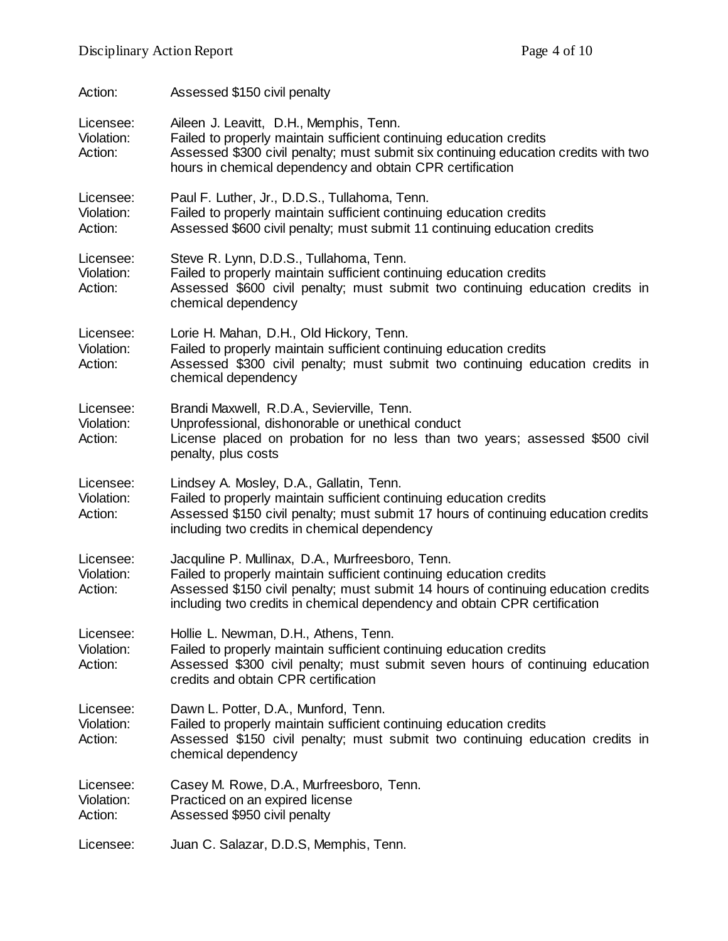| Action:                            | Assessed \$150 civil penalty                                                                                                                                                                                                                                                               |
|------------------------------------|--------------------------------------------------------------------------------------------------------------------------------------------------------------------------------------------------------------------------------------------------------------------------------------------|
| Licensee:<br>Violation:<br>Action: | Aileen J. Leavitt, D.H., Memphis, Tenn.<br>Failed to properly maintain sufficient continuing education credits<br>Assessed \$300 civil penalty; must submit six continuing education credits with two<br>hours in chemical dependency and obtain CPR certification                         |
| Licensee:<br>Violation:<br>Action: | Paul F. Luther, Jr., D.D.S., Tullahoma, Tenn.<br>Failed to properly maintain sufficient continuing education credits<br>Assessed \$600 civil penalty; must submit 11 continuing education credits                                                                                          |
| Licensee:<br>Violation:<br>Action: | Steve R. Lynn, D.D.S., Tullahoma, Tenn.<br>Failed to properly maintain sufficient continuing education credits<br>Assessed \$600 civil penalty; must submit two continuing education credits in<br>chemical dependency                                                                     |
| Licensee:<br>Violation:<br>Action: | Lorie H. Mahan, D.H., Old Hickory, Tenn.<br>Failed to properly maintain sufficient continuing education credits<br>Assessed \$300 civil penalty; must submit two continuing education credits in<br>chemical dependency                                                                    |
| Licensee:<br>Violation:<br>Action: | Brandi Maxwell, R.D.A., Sevierville, Tenn.<br>Unprofessional, dishonorable or unethical conduct<br>License placed on probation for no less than two years; assessed \$500 civil<br>penalty, plus costs                                                                                     |
| Licensee:<br>Violation:<br>Action: | Lindsey A. Mosley, D.A., Gallatin, Tenn.<br>Failed to properly maintain sufficient continuing education credits<br>Assessed \$150 civil penalty; must submit 17 hours of continuing education credits<br>including two credits in chemical dependency                                      |
| Licensee:<br>Violation:<br>Action: | Jacquline P. Mullinax, D.A., Murfreesboro, Tenn.<br>Failed to properly maintain sufficient continuing education credits<br>Assessed \$150 civil penalty; must submit 14 hours of continuing education credits<br>including two credits in chemical dependency and obtain CPR certification |
| Licensee:<br>Violation:<br>Action: | Hollie L. Newman, D.H., Athens, Tenn.<br>Failed to properly maintain sufficient continuing education credits<br>Assessed \$300 civil penalty; must submit seven hours of continuing education<br>credits and obtain CPR certification                                                      |
| Licensee:<br>Violation:<br>Action: | Dawn L. Potter, D.A., Munford, Tenn.<br>Failed to properly maintain sufficient continuing education credits<br>Assessed \$150 civil penalty; must submit two continuing education credits in<br>chemical dependency                                                                        |
| Licensee:<br>Violation:<br>Action: | Casey M. Rowe, D.A., Murfreesboro, Tenn.<br>Practiced on an expired license<br>Assessed \$950 civil penalty                                                                                                                                                                                |
| Licensee:                          | Juan C. Salazar, D.D.S, Memphis, Tenn.                                                                                                                                                                                                                                                     |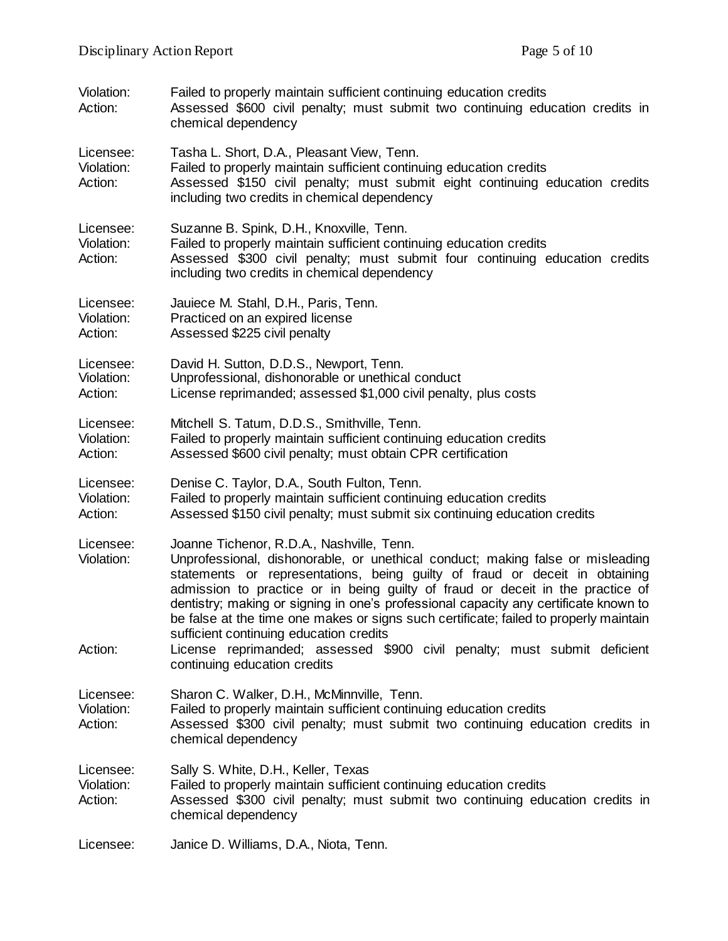| Violation:<br>Action:              | Failed to properly maintain sufficient continuing education credits<br>Assessed \$600 civil penalty; must submit two continuing education credits in<br>chemical dependency                                                                                                                                                                                                                                                                                                                                                                                                                                                          |
|------------------------------------|--------------------------------------------------------------------------------------------------------------------------------------------------------------------------------------------------------------------------------------------------------------------------------------------------------------------------------------------------------------------------------------------------------------------------------------------------------------------------------------------------------------------------------------------------------------------------------------------------------------------------------------|
| Licensee:<br>Violation:<br>Action: | Tasha L. Short, D.A., Pleasant View, Tenn.<br>Failed to properly maintain sufficient continuing education credits<br>Assessed \$150 civil penalty; must submit eight continuing education credits<br>including two credits in chemical dependency                                                                                                                                                                                                                                                                                                                                                                                    |
| Licensee:<br>Violation:<br>Action: | Suzanne B. Spink, D.H., Knoxville, Tenn.<br>Failed to properly maintain sufficient continuing education credits<br>Assessed \$300 civil penalty; must submit four continuing education credits<br>including two credits in chemical dependency                                                                                                                                                                                                                                                                                                                                                                                       |
| Licensee:<br>Violation:<br>Action: | Jauiece M. Stahl, D.H., Paris, Tenn.<br>Practiced on an expired license<br>Assessed \$225 civil penalty                                                                                                                                                                                                                                                                                                                                                                                                                                                                                                                              |
| Licensee:<br>Violation:<br>Action: | David H. Sutton, D.D.S., Newport, Tenn.<br>Unprofessional, dishonorable or unethical conduct<br>License reprimanded; assessed \$1,000 civil penalty, plus costs                                                                                                                                                                                                                                                                                                                                                                                                                                                                      |
| Licensee:<br>Violation:<br>Action: | Mitchell S. Tatum, D.D.S., Smithville, Tenn.<br>Failed to properly maintain sufficient continuing education credits<br>Assessed \$600 civil penalty; must obtain CPR certification                                                                                                                                                                                                                                                                                                                                                                                                                                                   |
| Licensee:<br>Violation:<br>Action: | Denise C. Taylor, D.A., South Fulton, Tenn.<br>Failed to properly maintain sufficient continuing education credits<br>Assessed \$150 civil penalty; must submit six continuing education credits                                                                                                                                                                                                                                                                                                                                                                                                                                     |
| Licensee:<br>Violation:<br>Action: | Joanne Tichenor, R.D.A., Nashville, Tenn.<br>Unprofessional, dishonorable, or unethical conduct; making false or misleading<br>statements or representations, being guilty of fraud or deceit in obtaining<br>admission to practice or in being guilty of fraud or deceit in the practice of<br>dentistry; making or signing in one's professional capacity any certificate known to<br>be false at the time one makes or signs such certificate; failed to properly maintain<br>sufficient continuing education credits<br>License reprimanded; assessed \$900 civil penalty; must submit deficient<br>continuing education credits |
| Licensee:<br>Violation:<br>Action: | Sharon C. Walker, D.H., McMinnville, Tenn.<br>Failed to properly maintain sufficient continuing education credits<br>Assessed \$300 civil penalty; must submit two continuing education credits in<br>chemical dependency                                                                                                                                                                                                                                                                                                                                                                                                            |
| Licensee:<br>Violation:<br>Action: | Sally S. White, D.H., Keller, Texas<br>Failed to properly maintain sufficient continuing education credits<br>Assessed \$300 civil penalty; must submit two continuing education credits in<br>chemical dependency                                                                                                                                                                                                                                                                                                                                                                                                                   |
| Licensee:                          | Janice D. Williams, D.A., Niota, Tenn.                                                                                                                                                                                                                                                                                                                                                                                                                                                                                                                                                                                               |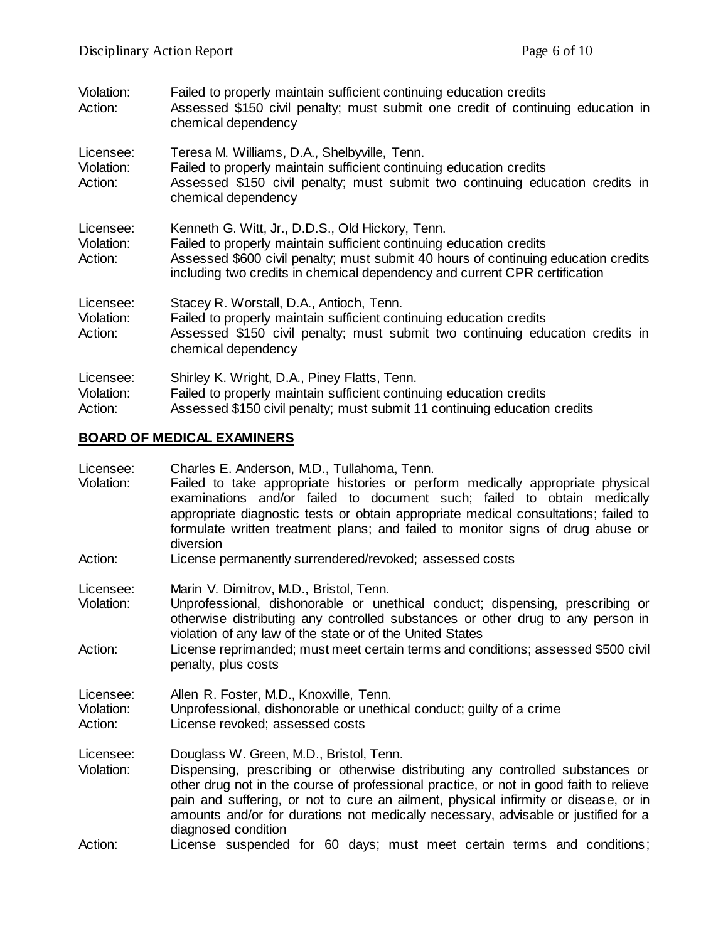| Violation:<br>Action:              | Failed to properly maintain sufficient continuing education credits<br>Assessed \$150 civil penalty; must submit one credit of continuing education in<br>chemical dependency                                                                                                               |
|------------------------------------|---------------------------------------------------------------------------------------------------------------------------------------------------------------------------------------------------------------------------------------------------------------------------------------------|
| Licensee:<br>Violation:<br>Action: | Teresa M. Williams, D.A., Shelbyville, Tenn.<br>Failed to properly maintain sufficient continuing education credits<br>Assessed \$150 civil penalty; must submit two continuing education credits in<br>chemical dependency                                                                 |
| Licensee:<br>Violation:<br>Action: | Kenneth G. Witt, Jr., D.D.S., Old Hickory, Tenn.<br>Failed to properly maintain sufficient continuing education credits<br>Assessed \$600 civil penalty; must submit 40 hours of continuing education credits<br>including two credits in chemical dependency and current CPR certification |
| Licensee:<br>Violation:<br>Action: | Stacey R. Worstall, D.A., Antioch, Tenn.<br>Failed to properly maintain sufficient continuing education credits<br>Assessed \$150 civil penalty; must submit two continuing education credits in<br>chemical dependency                                                                     |
| Licensee:<br>Violation:<br>Action: | Shirley K. Wright, D.A., Piney Flatts, Tenn.<br>Failed to properly maintain sufficient continuing education credits<br>Assessed \$150 civil penalty; must submit 11 continuing education credits                                                                                            |

## **BOARD OF MEDICAL EXAMINERS**

| Licensee:<br>Violation:            | Charles E. Anderson, M.D., Tullahoma, Tenn.<br>Failed to take appropriate histories or perform medically appropriate physical<br>examinations and/or failed to document such; failed to obtain medically<br>appropriate diagnostic tests or obtain appropriate medical consultations; failed to<br>formulate written treatment plans; and failed to monitor signs of drug abuse or<br>diversion                         |
|------------------------------------|-------------------------------------------------------------------------------------------------------------------------------------------------------------------------------------------------------------------------------------------------------------------------------------------------------------------------------------------------------------------------------------------------------------------------|
| Action:                            | License permanently surrendered/revoked; assessed costs                                                                                                                                                                                                                                                                                                                                                                 |
| Licensee:<br>Violation:            | Marin V. Dimitrov, M.D., Bristol, Tenn.<br>Unprofessional, dishonorable or unethical conduct; dispensing, prescribing or<br>otherwise distributing any controlled substances or other drug to any person in<br>violation of any law of the state or of the United States                                                                                                                                                |
| Action:                            | License reprimanded; must meet certain terms and conditions; assessed \$500 civil<br>penalty, plus costs                                                                                                                                                                                                                                                                                                                |
| Licensee:<br>Violation:<br>Action: | Allen R. Foster, M.D., Knoxville, Tenn.<br>Unprofessional, dishonorable or unethical conduct; guilty of a crime<br>License revoked; assessed costs                                                                                                                                                                                                                                                                      |
| Licensee:<br>Violation:            | Douglass W. Green, M.D., Bristol, Tenn.<br>Dispensing, prescribing or otherwise distributing any controlled substances or<br>other drug not in the course of professional practice, or not in good faith to relieve<br>pain and suffering, or not to cure an ailment, physical infirmity or disease, or in<br>amounts and/or for durations not medically necessary, advisable or justified for a<br>diagnosed condition |
| Action:                            | License suspended for 60 days; must meet certain terms and conditions;                                                                                                                                                                                                                                                                                                                                                  |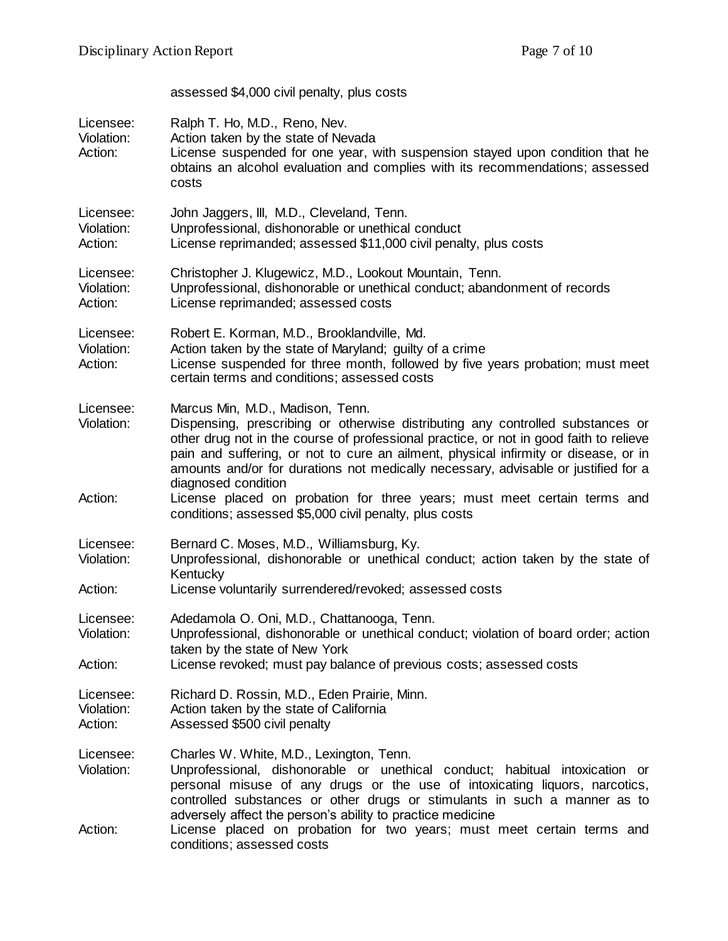|                                    | assessed \$4,000 civil penalty, plus costs                                                                                                                                                                                                                                                                                                                                                                                                                                                                                                             |
|------------------------------------|--------------------------------------------------------------------------------------------------------------------------------------------------------------------------------------------------------------------------------------------------------------------------------------------------------------------------------------------------------------------------------------------------------------------------------------------------------------------------------------------------------------------------------------------------------|
| Licensee:<br>Violation:<br>Action: | Ralph T. Ho, M.D., Reno, Nev.<br>Action taken by the state of Nevada<br>License suspended for one year, with suspension stayed upon condition that he<br>obtains an alcohol evaluation and complies with its recommendations; assessed<br>costs                                                                                                                                                                                                                                                                                                        |
| Licensee:<br>Violation:<br>Action: | John Jaggers, III, M.D., Cleveland, Tenn.<br>Unprofessional, dishonorable or unethical conduct<br>License reprimanded; assessed \$11,000 civil penalty, plus costs                                                                                                                                                                                                                                                                                                                                                                                     |
| Licensee:<br>Violation:<br>Action: | Christopher J. Klugewicz, M.D., Lookout Mountain, Tenn.<br>Unprofessional, dishonorable or unethical conduct; abandonment of records<br>License reprimanded; assessed costs                                                                                                                                                                                                                                                                                                                                                                            |
| Licensee:<br>Violation:<br>Action: | Robert E. Korman, M.D., Brooklandville, Md.<br>Action taken by the state of Maryland; guilty of a crime<br>License suspended for three month, followed by five years probation; must meet<br>certain terms and conditions; assessed costs                                                                                                                                                                                                                                                                                                              |
| Licensee:<br>Violation:<br>Action: | Marcus Min, M.D., Madison, Tenn.<br>Dispensing, prescribing or otherwise distributing any controlled substances or<br>other drug not in the course of professional practice, or not in good faith to relieve<br>pain and suffering, or not to cure an ailment, physical infirmity or disease, or in<br>amounts and/or for durations not medically necessary, advisable or justified for a<br>diagnosed condition<br>License placed on probation for three years; must meet certain terms and<br>conditions; assessed \$5,000 civil penalty, plus costs |
| Licensee:<br>Violation:<br>Action: | Bernard C. Moses, M.D., Williamsburg, Ky.<br>Unprofessional, dishonorable or unethical conduct; action taken by the state of<br>Kentucky<br>License voluntarily surrendered/revoked; assessed costs                                                                                                                                                                                                                                                                                                                                                    |
| Licensee:<br>Violation:<br>Action: | Adedamola O. Oni, M.D., Chattanooga, Tenn.<br>Unprofessional, dishonorable or unethical conduct; violation of board order; action<br>taken by the state of New York<br>License revoked; must pay balance of previous costs; assessed costs                                                                                                                                                                                                                                                                                                             |
| Licensee:<br>Violation:<br>Action: | Richard D. Rossin, M.D., Eden Prairie, Minn.<br>Action taken by the state of California<br>Assessed \$500 civil penalty                                                                                                                                                                                                                                                                                                                                                                                                                                |
| Licensee:<br>Violation:            | Charles W. White, M.D., Lexington, Tenn.<br>Unprofessional, dishonorable or unethical conduct; habitual intoxication or<br>personal misuse of any drugs or the use of intoxicating liquors, narcotics,<br>controlled substances or other drugs or stimulants in such a manner as to<br>adversely affect the person's ability to practice medicine                                                                                                                                                                                                      |
| Action:                            | License placed on probation for two years; must meet certain terms and<br>conditions; assessed costs                                                                                                                                                                                                                                                                                                                                                                                                                                                   |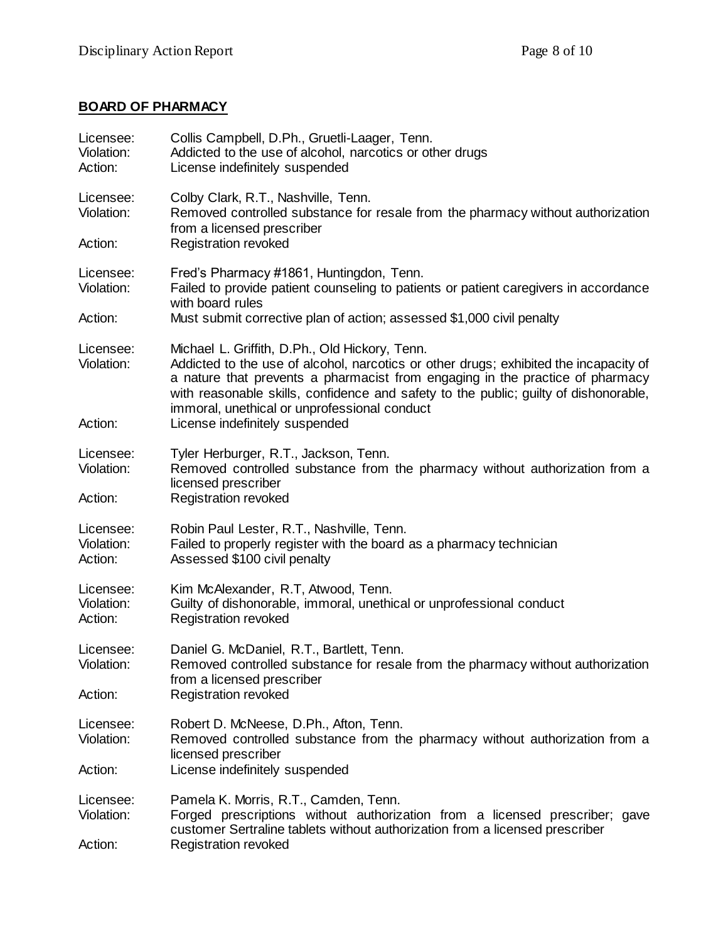## **BOARD OF PHARMACY**

| Licensee:<br>Violation:<br>Action: | Collis Campbell, D.Ph., Gruetli-Laager, Tenn.<br>Addicted to the use of alcohol, narcotics or other drugs<br>License indefinitely suspended                                                                                                                                                                                                                      |
|------------------------------------|------------------------------------------------------------------------------------------------------------------------------------------------------------------------------------------------------------------------------------------------------------------------------------------------------------------------------------------------------------------|
| Licensee:<br>Violation:            | Colby Clark, R.T., Nashville, Tenn.<br>Removed controlled substance for resale from the pharmacy without authorization<br>from a licensed prescriber                                                                                                                                                                                                             |
| Action:                            | <b>Registration revoked</b>                                                                                                                                                                                                                                                                                                                                      |
| Licensee:<br>Violation:            | Fred's Pharmacy #1861, Huntingdon, Tenn.<br>Failed to provide patient counseling to patients or patient caregivers in accordance<br>with board rules                                                                                                                                                                                                             |
| Action:                            | Must submit corrective plan of action; assessed \$1,000 civil penalty                                                                                                                                                                                                                                                                                            |
| Licensee:<br>Violation:            | Michael L. Griffith, D.Ph., Old Hickory, Tenn.<br>Addicted to the use of alcohol, narcotics or other drugs; exhibited the incapacity of<br>a nature that prevents a pharmacist from engaging in the practice of pharmacy<br>with reasonable skills, confidence and safety to the public; guilty of dishonorable,<br>immoral, unethical or unprofessional conduct |
| Action:                            | License indefinitely suspended                                                                                                                                                                                                                                                                                                                                   |
| Licensee:<br>Violation:            | Tyler Herburger, R.T., Jackson, Tenn.<br>Removed controlled substance from the pharmacy without authorization from a<br>licensed prescriber                                                                                                                                                                                                                      |
| Action:                            | <b>Registration revoked</b>                                                                                                                                                                                                                                                                                                                                      |
| Licensee:<br>Violation:<br>Action: | Robin Paul Lester, R.T., Nashville, Tenn.<br>Failed to properly register with the board as a pharmacy technician<br>Assessed \$100 civil penalty                                                                                                                                                                                                                 |
| Licensee:<br>Violation:<br>Action: | Kim McAlexander, R.T, Atwood, Tenn.<br>Guilty of dishonorable, immoral, unethical or unprofessional conduct<br><b>Registration revoked</b>                                                                                                                                                                                                                       |
| Licensee:<br>Violation:            | Daniel G. McDaniel, R.T., Bartlett, Tenn.<br>Removed controlled substance for resale from the pharmacy without authorization<br>from a licensed prescriber                                                                                                                                                                                                       |
| Action:                            | <b>Registration revoked</b>                                                                                                                                                                                                                                                                                                                                      |
| Licensee:<br>Violation:            | Robert D. McNeese, D.Ph., Afton, Tenn.<br>Removed controlled substance from the pharmacy without authorization from a<br>licensed prescriber                                                                                                                                                                                                                     |
| Action:                            | License indefinitely suspended                                                                                                                                                                                                                                                                                                                                   |
| Licensee:<br>Violation:<br>Action: | Pamela K. Morris, R.T., Camden, Tenn.<br>Forged prescriptions without authorization from a licensed prescriber; gave<br>customer Sertraline tablets without authorization from a licensed prescriber<br>Registration revoked                                                                                                                                     |
|                                    |                                                                                                                                                                                                                                                                                                                                                                  |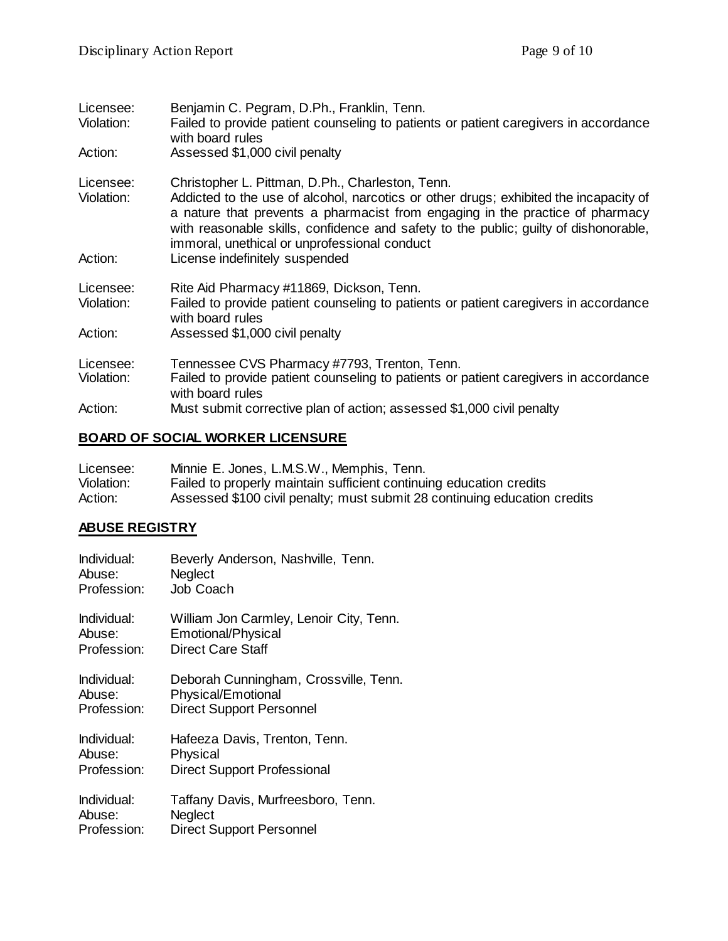| Licensee:<br>Violation: | Benjamin C. Pegram, D.Ph., Franklin, Tenn.<br>Failed to provide patient counseling to patients or patient caregivers in accordance<br>with board rules                                                                                                                                                                                                             |
|-------------------------|--------------------------------------------------------------------------------------------------------------------------------------------------------------------------------------------------------------------------------------------------------------------------------------------------------------------------------------------------------------------|
| Action:                 | Assessed \$1,000 civil penalty                                                                                                                                                                                                                                                                                                                                     |
| Licensee:<br>Violation: | Christopher L. Pittman, D.Ph., Charleston, Tenn.<br>Addicted to the use of alcohol, narcotics or other drugs; exhibited the incapacity of<br>a nature that prevents a pharmacist from engaging in the practice of pharmacy<br>with reasonable skills, confidence and safety to the public; guilty of dishonorable,<br>immoral, unethical or unprofessional conduct |
| Action:                 | License indefinitely suspended                                                                                                                                                                                                                                                                                                                                     |
| Licensee:<br>Violation: | Rite Aid Pharmacy #11869, Dickson, Tenn.<br>Failed to provide patient counseling to patients or patient caregivers in accordance<br>with board rules                                                                                                                                                                                                               |
| Action:                 | Assessed \$1,000 civil penalty                                                                                                                                                                                                                                                                                                                                     |
| Licensee:               | Tennessee CVS Pharmacy #7793, Trenton, Tenn.                                                                                                                                                                                                                                                                                                                       |
| Violation:              | Failed to provide patient counseling to patients or patient caregivers in accordance<br>with board rules                                                                                                                                                                                                                                                           |
| Action:                 | Must submit corrective plan of action; assessed \$1,000 civil penalty                                                                                                                                                                                                                                                                                              |

## **BOARD OF SOCIAL WORKER LICENSURE**

| Licensee:  | Minnie E. Jones, L.M.S.W., Memphis, Tenn.                                 |
|------------|---------------------------------------------------------------------------|
| Violation: | Failed to properly maintain sufficient continuing education credits       |
| Action:    | Assessed \$100 civil penalty; must submit 28 continuing education credits |

#### **ABUSE REGISTRY**

| Individual: | Beverly Anderson, Nashville, Tenn.      |
|-------------|-----------------------------------------|
| Abuse:      | Neglect                                 |
| Profession: | Job Coach                               |
| Individual: | William Jon Carmley, Lenoir City, Tenn. |
| Abuse:      | Emotional/Physical                      |
| Profession: | <b>Direct Care Staff</b>                |
| Individual: | Deborah Cunningham, Crossville, Tenn.   |
| Abuse:      | Physical/Emotional                      |
| Profession: | <b>Direct Support Personnel</b>         |
| Individual: | Hafeeza Davis, Trenton, Tenn.           |
| Abuse:      | Physical                                |
| Profession: | <b>Direct Support Professional</b>      |
| Individual: | Taffany Davis, Murfreesboro, Tenn.      |
| Abuse:      | Neglect                                 |
| Profession: | <b>Direct Support Personnel</b>         |